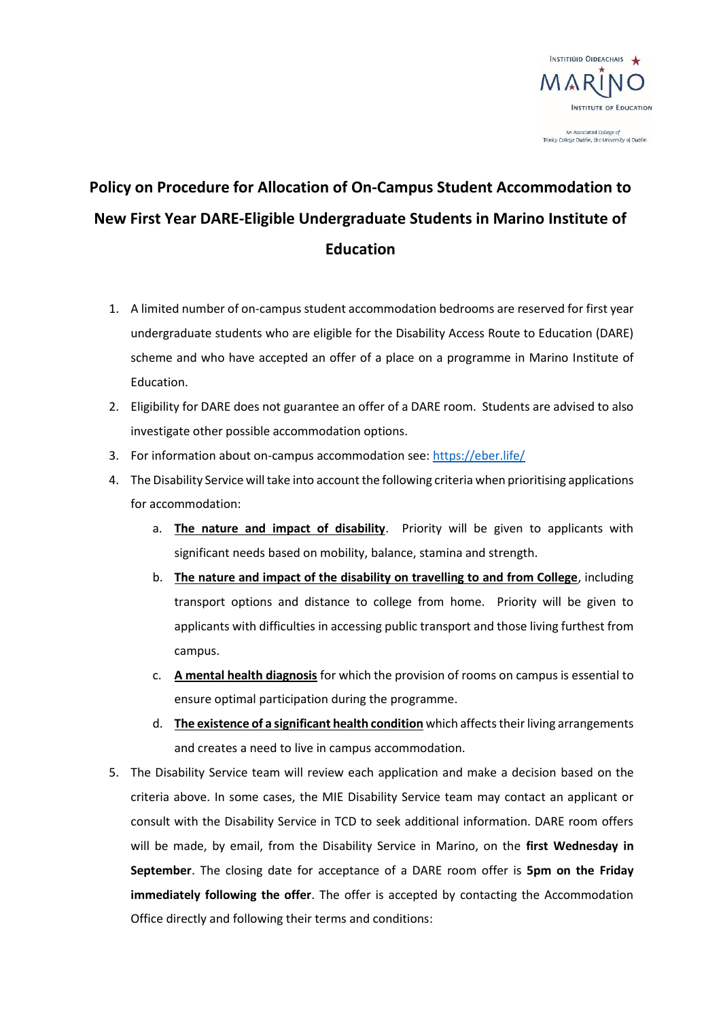

An Associated College of<br>Trinity College Dublin, the University of Dublin

## **Policy on Procedure for Allocation of On-Campus Student Accommodation to New First Year DARE-Eligible Undergraduate Students in Marino Institute of Education**

- 1. A limited number of on-campus student accommodation bedrooms are reserved for first year undergraduate students who are eligible for the Disability Access Route to Education (DARE) scheme and who have accepted an offer of a place on a programme in Marino Institute of Education.
- 2. Eligibility for DARE does not guarantee an offer of a DARE room. Students are advised to also investigate other possible accommodation options.
- 3. For information about on-campus accommodation see: <https://eber.life/>
- 4. The Disability Service will take into account the following criteria when prioritising applications for accommodation:
	- a. **The nature and impact of disability**. Priority will be given to applicants with significant needs based on mobility, balance, stamina and strength.
	- b. **The nature and impact of the disability on travelling to and from College**, including transport options and distance to college from home. Priority will be given to applicants with difficulties in accessing public transport and those living furthest from campus.
	- c. **A mental health diagnosis** for which the provision of rooms on campus is essential to ensure optimal participation during the programme.
	- d. **The existence of a significant health condition** which affects their living arrangements and creates a need to live in campus accommodation.
- 5. The Disability Service team will review each application and make a decision based on the criteria above. In some cases, the MIE Disability Service team may contact an applicant or consult with the Disability Service in TCD to seek additional information. DARE room offers will be made, by email, from the Disability Service in Marino, on the **first Wednesday in September**. The closing date for acceptance of a DARE room offer is **5pm on the Friday immediately following the offer**. The offer is accepted by contacting the Accommodation Office directly and following their terms and conditions: